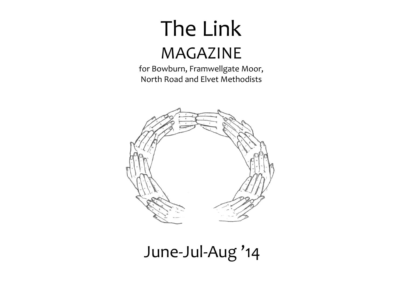# The Link MAGAZINE

for Bowburn, Framwellgate Moor, North Road and Elvet Methodists



## June‐Jul‐Aug '14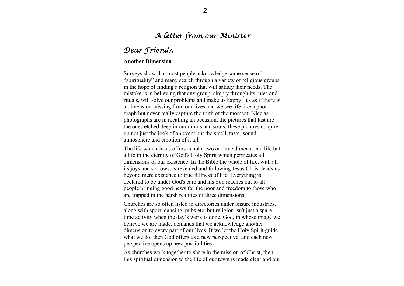## *A letter from our Minister Dear Friends,*

## **Another Dimension**

Surveys show that most people acknowledge some sense of "spirituality" and many search through a variety of religious groups in the hope of finding a religion that will satisfy their needs. The mistake is in believing that any group, simply through its rules and rituals, will solve our problems and make us happy. It's as if there is a dimension missing from our lives and we see life like a photograph but never really capture the truth of the moment. Nice as photographs are in recalling an occasion, the pictures that last are the ones etched deep in our minds and souls; these pictures conjure up not just the look of an event but the smell, taste, sound, atmosphere and emotion of it all.

The life which Jesus offers is not a two or three dimensional life but a life in the eternity of God's Holy Spirit which permeates all dimensions of our existence. In the Bible the whole of life, with all its joys and sorrows, is revealed and following Jesus Christ leads us beyond mere existence to true fullness of life. Everything is declared to be under God's care and his Son reaches out to all people bringing good news for the poor and freedom to those who are trapped in the harsh realities of three dimensions.

Churches are so often listed in directories under leisure industries, along with sport, dancing, pubs etc. but religion isn't just a spare time activity when the day's work is done. God, in whose image we believe we are made, demands that we acknowledge another dimension to every part of our lives. If we let the Holy Spirit guide what we do, then God offers us a new perspective, and each new perspective opens up new possibilities.

As churches work together to share in the mission of Christ, then this spiritual dimension to the life of our town is made clear and our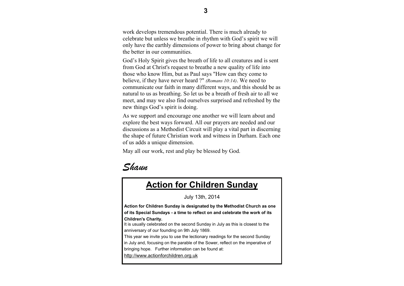work develops tremendous potential. There is much already to celebrate but unless we breathe in rhythm with God's spirit we will only have the earthly dimensions of power to bring about change for the better in our communities.

God's Holy Spirit gives the breath of life to all creatures and is sent from God at Christ's request to breathe a new quality of life into those who know Him, but as Paul says "How can they come to believe, if they have never heard ?" *(Romans 10:14)*. We need to communicate our faith in many different ways, and this should be as natural to us as breathing. So let us be a breath of fresh air to all we meet, and may we also find ourselves surprised and refreshed by the new things God's spirit is doing.

As we support and encourage one another we will learn about and explore the best ways forward. All our prayers are needed and our discussions as a Methodist Circuit will play a vital part in discerning the shape of future Christian work and witness in Durham. Each one of us adds a unique dimension.

May all our work, rest and play be blessed by God.



## **Action for Children Sunday**

July 13th, 2014

**Action for Children Sunday is designated by the Methodist Church as one of its Special Sundays - a time to reflect on and celebrate the work of its Children's Charity.**

It is usually celebrated on the second Sunday in July as this is closest to the anniversary of our founding on 9th July 1869.

This year we invite you to use the lectionary readings for the second Sunday in July and, focusing on the parable of the Sower, reflect on the imperative of bringing hope. Further information can be found at:

http://www.actionforchildren.org.uk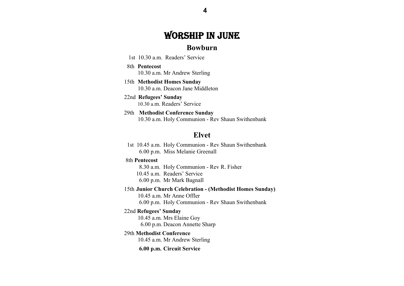## WORSHIP IN JUNE

## **Bowburn**

- 1st 10.30 a.m. Readers' Service
- 8th **Pentecost** 10.30 a.m. Mr Andrew Sterling
- 15th **Methodist Homes Sunday**  10.30 a.m. Deacon Jane Middleton
- 22nd **Refugees' Sunday** 10.30 a.m. Readers' Service
- 29th **Methodist Conference Sunday**  10.30 a.m. Holy Communion - Rev Shaun Swithenbank

## **Elvet**

 1st 10.45 a.m. Holy Communion - Rev Shaun Swithenbank 6.00 p.m. Miss Melanie Greenall

#### 8th **Pentecost**

 8.30 a.m. Holy Communion - Rev R. Fisher 10.45 a.m. Readers' Service6.00 p.m. Mr Mark Bagnall

 15th **Junior Church Celebration - (Methodist Homes Sunday)**  10.45 a.m. Mr Anne Offler

6.00 p.m. Holy Communion - Rev Shaun Swithenbank

#### 22nd **Refugees' Sunday**

 10.45 a.m. Mrs Elaine Goy 6.00 p.m. Deacon Annette Sharp

#### 29th **Methodist Conference**

10.45 a.m. Mr Andrew Sterling

**6.00 p.m. Circuit Service**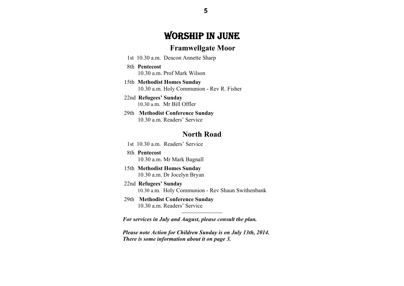## WORSHIP IN JUNE

## **Framwellgate Moor**

- 1st 10.30 a.m. Deacon Annette Sharp
- 8th **Pentecost** 10.30 a.m. Prof Mark Wilson
- 15th **Methodist Homes Sunday**  10.30 a.m. Holy Communion - Rev R. Fisher
- 22nd **Refugees' Sunday** 10.30 a.m. Mr Bill Offler
- 29th **Methodist Conference Sunday**  10.30 a.m. Readers' Service

## **North Road**

- 1st 10.30 a.m. Readers' Service
- 8th **Pentecost** 10.30 a.m. Mr Mark Bagnall
- 15th **Methodist Homes Sunday**  10.30 a.m. Dr Jocelyn Bryan
- 22nd **Refugees' Sunday** 10.30 a.m. Holy Communion - Rev Shaun Swithenbank
- 29th **Methodist Conference Sunday**  10.30 a.m. Readers' Service

*For services in July and August, please consult the plan.* 

*Please note Action for Children Sunday is on July 13th, 2014. There is some information about it on page 3.* 

 $\sim$ ~~~~~~~~~~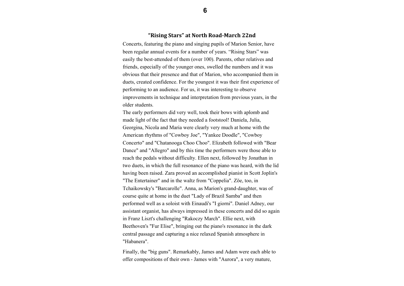#### **"Rising Stars" at North Road‐March 22nd**

Concerts, featuring the piano and singing pupils of Marion Senior, have been regular annual events for a number of years. "Rising Stars" was easily the best-attended of them (over 100). Parents, other relatives and friends, especially of the younger ones, swelled the numbers and it was obvious that their presence and that of Marion, who accompanied them in duets, created confidence. For the youngest it was their first experience of performing to an audience. For us, it was interesting to observe improvements in technique and interpretation from previous years, in the older students.

The early performers did very well, took their bows with aplomb and made light of the fact that they needed a footstool! Daniela, Julia, Georgina, Nicola and Maria were clearly very much at home with the American rhythms of "Cowboy Joe", "Yankee Doodle", "Cowboy Concerto" and "Chatanooga Choo Choo". Elizabeth followed with "Bear Dance" and "Allegro" and by this time the performers were those able to reach the pedals without difficulty. Ellen next, followed by Jonathan in two duets, in which the full resonance of the piano was heard, with the lid having been raised. Zara proved an accomplished pianist in Scott Joplin's "The Entertainer" and in the waltz from "Coppelia". Zöe, too, in Tchaikowsky's "Barcarolle". Anna, as Marion's grand-daughter, was of course quite at home in the duet "Lady of Brazil Samba" and then performed well as a soloist with Einaudi's "I giorni". Daniel Adney, our assistant organist, has always impressed in these concerts and did so again in Franz Liszt's challenging "Rakoczy March". Ellie next, with Beethoven's "Fur Elise", bringing out the piano's resonance in the dark central passage and capturing a nice relaxed Spanish atmosphere in "Habanera".

Finally, the "big guns". Remarkably, James and Adam were each able to offer compositions of their own - James with "Aurora", a very mature,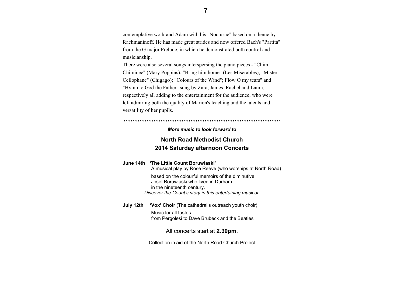contemplative work and Adam with his "Nocturne" based on a theme by Rachmaninoff. He has made great strides and now offered Bach's "Partita" from the G major Prelude, in which he demonstrated both control and musicianship.

There were also several songs interspersing the piano pieces - "Chim Chiminee" (Mary Poppins); "Bring him home" (Les Miserables); "Mister Cellophane" (Chigago); "Colours of the Wind"; Flow O my tears" and "Hymn to God the Father" sung by Zara, James, Rachel and Laura, respectively all adding to the entertainment for the audience, who were left admiring both the quality of Marion's teaching and the talents and versatility of her pupils.

'''''''''''''''''''''''''''''''''''''''''''''''''''''''''''''''''''''''''''''''''''''''''

#### *More music to look forward to*

## **North Road Methodist Church 2014 Saturday afternoon Concerts**

|           | June 14th 'The Little Count Boruwlaski'<br>A musical play by Rose Reeve (who worships at North Road)                                                                               |  |
|-----------|------------------------------------------------------------------------------------------------------------------------------------------------------------------------------------|--|
|           | based on the colourful memoirs of the diminutive<br>Josef Boruwlaski who lived in Durham<br>in the nineteenth century.<br>Discover the Count's story in this entertaining musical. |  |
| July 12th | 'Vox' Choir (The cathedral's outreach youth choir)                                                                                                                                 |  |
|           | Music for all tastes                                                                                                                                                               |  |

from Pergolesi to Dave Brubeck and the Beatles

### All concerts start at **2.30pm**.

Collection in aid of the North Road Church Project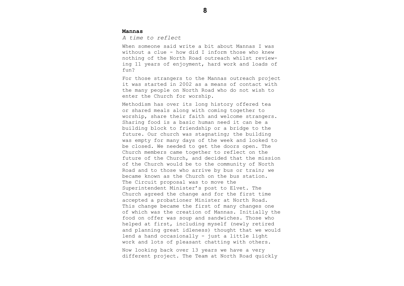#### **Mannas**

*A time to reflect* 

When someone said write a bit about Mannas I was without a clue - how did I inform those who knew nothing of the North Road outreach whilst reviewing 11 years of enjoyment, hard work and loads of fun?

For those strangers to the Mannas outreach project it was started in 2002 as a means of contact with the many people on North Road who do not wish to enter the Church for worship.

Methodism has over its long history offered tea or shared meals along with coming together to worship, share their faith and welcome strangers. Sharing food is a basic human need it can be a building block to friendship or a bridge to the future. Our church was stagnating; the building was empty for many days of the week and looked to be closed. We needed to get the doors open. The Church members came together to reflect on the future of the Church, and decided that the mission of the Church would be to the community of North Road and to those who arrive by bus or train; we became known as the Church on the bus station. The Circuit proposal was to move the Superintendent Minister's post to Elvet. The Church agreed the change and for the first time accepted a probationer Minister at North Road. This change became the first of many changes one of which was the creation of Mannas. Initially the food on offer was soup and sandwiches. Those who helped at first, including myself (newly retired and planning great idleness) thought that we would lend a hand occasionally - just a little light work and lots of pleasant chatting with others. Now looking back over 13 years we have a very different project. The Team at North Road quickly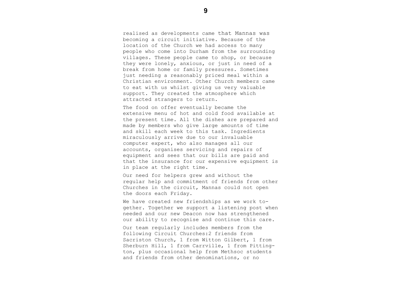realised as developments came that Mannas was becoming a circuit initiative. Because of the location of the Church we had access to many people who come into Durham from the surrounding villages. These people came to shop, or because they were lonely, anxious, or just in need of a break from home or family pressures. Sometimes just needing a reasonably priced meal within a Christian environment. Other Church members came to eat with us whilst giving us very valuable support. They created the atmosphere which attracted strangers to return.

The food on offer eventually became the extensive menu of hot and cold food available at the present time. All the dishes are prepared and made by members who give large amounts of time and skill each week to this task. Ingredients miraculously arrive due to our invaluable computer expert, who also manages all our accounts, organises servicing and repairs of equipment and sees that our bills are paid and that the insurance for our expensive equipment is in place at the right time.

Our need for helpers grew and without the regular help and commitment of friends from other Churches in the circuit, Mannas could not open the doors each Friday.

We have created new friendships as we work together. Together we support a listening post when needed and our new Deacon now has strengthened our ability to recognise and continue this care.

Our team regularly includes members from the following Circuit Churches:2 friends from Sacriston Church, 1 from Witton Gilbert, 1 from Sherburn Hill, 1 from Carrville, 1 from Pittington, plus occasional help from Methsoc students and friends from other denominations, or no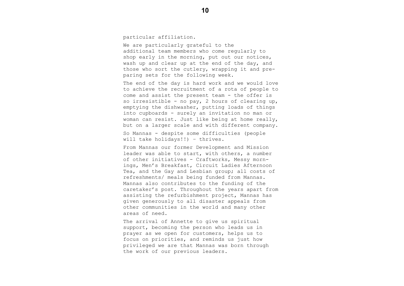particular affiliation.

We are particularly grateful to the additional team members who come regularly to shop early in the morning, put out our notices, wash up and clear up at the end of the day, and those who sort the cutlery, wrapping it and preparing sets for the following week.

The end of the day is hard work and we would love to achieve the recruitment of a rota of people to come and assist the present team - the offer is so irresistible - no pay, 2 hours of clearing up, emptying the dishwasher, putting loads of things into cupboards - surely an invitation no man or woman can resist. Just like being at home really, but on a larger scale and with different company.

So Mannas - despite some difficulties (people will take holidays!!) – thrives.

From Mannas our former Development and Mission leader was able to start, with others, a number of other initiatives - Craftworks, Messy mornings, Men's Breakfast, Circuit Ladies Afternoon Tea, and the Gay and Lesbian group; all costs of refreshments/ meals being funded from Mannas. Mannas also contributes to the funding of the caretaker's post. Throughout the years apart from assisting the refurbishment project, Mannas has given generously to all disaster appeals from other communities in the world and many other areas of need.

The arrival of Annette to give us spiritual support, becoming the person who leads us in prayer as we open for customers, helps us to focus on priorities, and reminds us just how privileged we are that Mannas was born through the work of our previous leaders.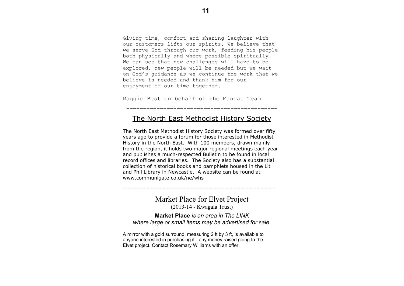Giving time, comfort and sharing laughter with our customers lifts our spirits. We believe that we serve God through our work, feeding his people both physically and where possible spiritually. We can see that new challenges will have to be explored, new people will be needed but we wait on God's guidance as we continue the work that we believe is needed and thank him for our enjoyment of our time together.

Maggie Best on behalf of the Mannas Team

=============================================

## The North East Methodist History Society

The North East Methodist History Society was formed over fifty years ago to provide a forum for those interested in Methodist History in the North East. With 100 members, drawn mainly from the region, it holds two major regional meetings each year and publishes a much-respected Bulletin to be found in local record offices and libraries. The Society also has a substantial collection of historical books and pamphlets housed in the Lit and Phil Library in Newcastle. A website can be found at www.communigate.co.uk/ne/whs

=======================================

Market Place for Elvet Project

(2013-14 - Kwagala Trust)

**Market Place** *is an area in The LINK where large or small items may be advertised for sale.* 

A mirror with a gold surround, measuring 2 ft by 3 ft, is available to anyone interested in purchasing it - any money raised going to the Elvet project. Contact Rosemary Williams with an offer.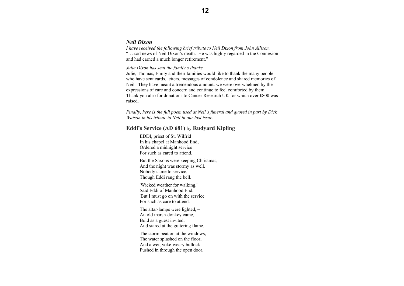#### *Neil Dixon*

*I have received the following brief tribute to Neil Dixon from John Allison.*  "… sad news of Neil Dixon's death. He was highly regarded in the Connexion and had earned a much longer retirement."

#### *Julie Dixon has sent the family's thanks.*

Julie, Thomas, Emily and their families would like to thank the many people who have sent cards, letters, messages of condolence and shared memories of Neil. They have meant a tremendous amount: we were overwhelmed by the expressions of care and concern and continue to feel comforted by them. Thank you also for donations to Cancer Research UK for which over £800 was raised.

*Finally, here is the full poem used at Neil's funeral and quoted in part by Dick Watson in his tribute to Neil in our last issue.* 

### **Eddi's Service (AD 681)** by **Rudyard Kipling**

 EDDI, priest of St. Wilfrid In his chapel at Manhood End, Ordered a midnight service For such as cared to attend.

> But the Saxons were keeping Christmas, And the night was stormy as well. Nobody came to service, Though Eddi rang the bell.

'Wicked weather for walking,' Said Eddi of Manhood End. 'But I must go on with the service For such as care to attend.

> The altar-lamps were lighted, – An old marsh-donkey came, Bold as a guest invited, And stared at the guttering flame.

The storm beat on at the windows, The water splashed on the floor, And a wet, yoke-weary bullock Pushed in through the open door.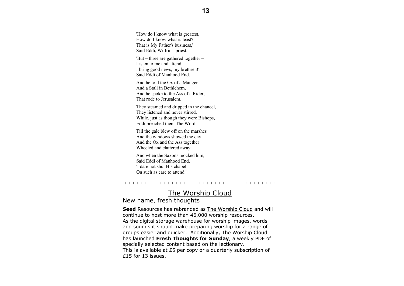'How do I know what is greatest, How do I know what is least? That is My Father's business,' Said Eddi, Wilfrid's priest.

 'But – three are gathered together – Listen to me and attend. I bring good news, my brethren!' Said Eddi of Manhood End.

And he told the Ox of a Manger And a Stall in Bethlehem, And he spoke to the Ass of a Rider, That rode to Jerusalem.

They steamed and dripped in the chancel, They listened and never stirred, While, just as though they were Bishops, Eddi preached them The Word,

Till the gale blew off on the marshes And the windows showed the day, And the Ox and the Ass together Wheeled and clattered away.

And when the Saxons mocked him, Said Eddi of Manhood End, 'I dare not shut His chapel On such as care to attend.'

+ + + + + + + + + + + + + + + + + + + + + + + + + + + + + + + + + + + + + + +

## The Worship Cloud

## New name, fresh thoughts

**Seed** Resources has rebranded as The Worship Cloud and will continue to host more than 46,000 worship resources. As the digital storage warehouse for worship images, words and sounds it should make preparing worship for a range of groups easier and quicker. Additionally, The Worship Cloud has launched **Fresh Thoughts for Sunday**, a weekly PDF of specially selected content based on the lectionary. This is available at £5 per copy or a quarterly subscription of £15 for 13 issues.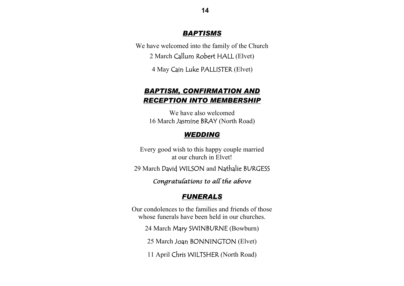## *BAPTISMS*

We have welcomed into the family of the Church 2 March Callum Robert HALL (Elvet)

4 May Cain Luke PALLISTER (Elvet)

## *BAPTISM, CONFIRMATION AND RECEPTION INTO MEMBERSHIP*

We have also welcomed 16 March Jasmine BRAY (North Road)

## *WEDDING*

Every good wish to this happy couple married at our church in Elvet!

29 March David WILSON and Nathalie BURGESS

*Congratulations to all the above* 

## *FUNERALS*

Our condolences to the families and friends of those whose funerals have been held in our churches.

24 March Mary SWINBURNE (Bowburn)

25 March Joan BONNINGTON (Elvet)

11 April Chris WILTSHER (North Road)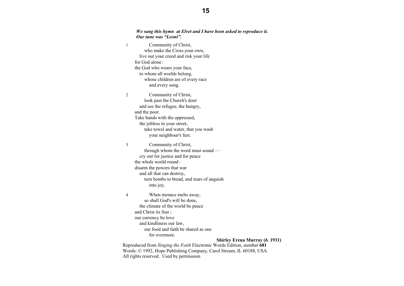#### *We sang this hymn at Elvet and I have been asked to reproduce it. Our tune was "Leoni".*

| $\,1$          | Community of Christ,                      |
|----------------|-------------------------------------------|
|                | who make the Cross your own,              |
|                | live out your creed and risk your life    |
|                | for God alone:                            |
|                | the God who wears your face,              |
|                | to whom all worlds belong,                |
|                | whose children are of every race          |
|                | and every song.                           |
| $\overline{c}$ | Community of Christ,                      |
|                | look past the Church's door               |
|                | and see the refugee, the hungry,          |
|                | and the poor.                             |
|                | Take hands with the oppressed,            |
|                | the jobless in your street,               |
|                | take towel and water, that you wash       |
|                | your neighbour's feet.                    |
| 3              | Community of Christ,                      |
|                | through whom the word must sound -        |
|                | cry out for justice and for peace         |
|                | the whole world round:                    |
|                | disarm the powers that war                |
|                | and all that can destroy,                 |
|                | turn bombs to bread, and tears of anguish |
|                | into joy.                                 |
| 4              | When menace melts away,                   |
|                | so shall God's will be done,              |
|                | the climate of the world be peace         |
|                | and Christ its Sun;                       |
|                | our currency be love                      |
|                | and kindliness our law,                   |
|                | our food and faith be shared as one       |
|                | for evermore.                             |
|                | <b>Shirley Erena Murray (b. 1931)</b>     |

Reproduced from *Singing the Faith* Electronic Words Edition, number **681** Words: © 1992, Hope Publishing Company, Carol Stream, IL 60188, USA. All rights reserved. Used by permission.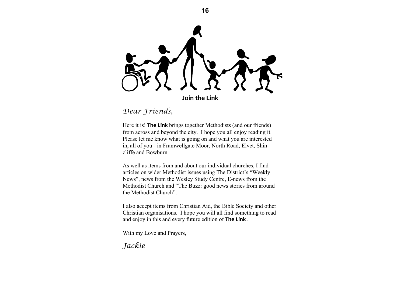**Join the Link**

**16** 

*Dear Friends,*

Here it is! **The Link** brings together Methodists (and our friends) from across and beyond the city. I hope you all enjoy reading it. Please let me know what is going on and what you are interested in, all of you - in Framwellgate Moor, North Road, Elvet, Shincliffe and Bowburn.

As well as items from and about our individual churches, I find articles on wider Methodist issues using The District's "Weekly News", news from the Wesley Study Centre, E-news from the Methodist Church and "The Buzz: good news stories from around the Methodist Church".

I also accept items from Christian Aid, the Bible Society and other Christian organisations. I hope you will all find something to read and enjoy in this and every future edition of **The Link** .

With my Love and Prayers,

*Jackie*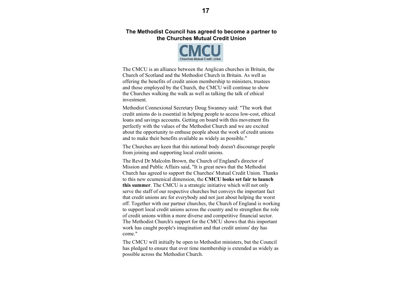## **The Methodist Council has agreed to become a partner to the Churches Mutual Credit Union**



The CMCU is an alliance between the Anglican churches in Britain, the Church of Scotland and the Methodist Church in Britain. As well as offering the benefits of credit union membership to ministers, trustees and those employed by the Church, the CMCU will continue to show the Churches walking the walk as well as talking the talk of ethical investment.

Methodist Connexional Secretary Doug Swanney said: "The work that credit unions do is essential in helping people to access low-cost, ethical loans and savings accounts. Getting on board with this movement fits perfectly with the values of the Methodist Church and we are excited about the opportunity to enthuse people about the work of credit unions and to make their benefits available as widely as possible."

The Churches are keen that this national body doesn't discourage people from joining and supporting local credit unions.

The Revd Dr Malcolm Brown, the Church of England's director of Mission and Public Affairs said, "It is great news that the Methodist Church has agreed to support the Churches' Mutual Credit Union. Thanks to this new ecumenical dimension, the **CMCU looks set fair to launch this summer**. The CMCU is a strategic initiative which will not only serve the staff of our respective churches but conveys the important fact that credit unions are for everybody and not just about helping the worst off. Together with our partner churches, the Church of England is working to support local credit unions across the country and to strengthen the role of credit unions within a more diverse and competitive financial sector. The Methodist Church's support for the CMCU shows that this important work has caught people's imagination and that credit unions' day has come."

The CMCU will initially be open to Methodist ministers, but the Council has pledged to ensure that over time membership is extended as widely as possible across the Methodist Church.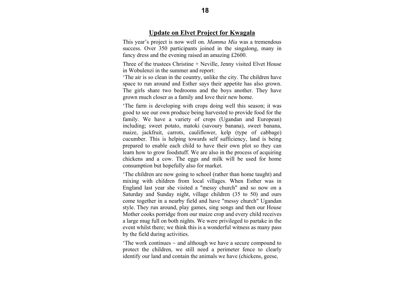This year's project is now well on. *Mamma Mia* was a tremendous success. Over 350 participants joined in the singalong, many in fancy dress and the evening raised an amazing £2600.

Three of the trustees Christine + Neville, Jenny visited Elvet House in Wobulenzi in the summer and report:

'The air is so clean in the country, unlike the city. The children have space to run around and Esther says their appetite has also grown. The girls share two bedrooms and the boys another. They have grown much closer as a family and love their new home.

'The farm is developing with crops doing well this season; it was good to see our own produce being harvested to provide food for the family. We have a variety of crops (Ugandan and European) including; sweet potato, matoki (savoury banana), sweet banana, maize, jackfruit, carrots, cauliflower, kelp (type of cabbage) cucumber. This is helping towards self sufficiency, land is being prepared to enable each child to have their own plot so they can learn how to grow foodstuff. We are also in the process of acquiring chickens and a cow. The eggs and milk will be used for home consumption but hopefully also for market.

'The children are now going to school (rather than home taught) and mixing with children from local villages. When Esther was in England last year she visited a "messy church" and so now on a Saturday and Sunday night, village children (35 to 50) and ours come together in a nearby field and have "messy church" Ugandan style. They run around, play games, sing songs and then our House Mother cooks porridge from our maize crop and every child receives a large mug full on both nights. We were privileged to partake in the event whilst there; we think this is a wonderful witness as many pass by the field during activities.

The work continues  $\sim$  and although we have a secure compound to protect the children, we still need a perimeter fence to clearly identify our land and contain the animals we have (chickens, geese,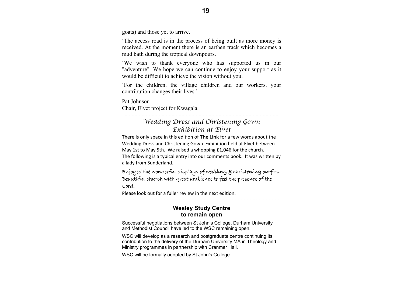goats) and those yet to arrive.

'The access road is in the process of being built as more money is received. At the moment there is an earthen track which becomes a mud bath during the tropical downpours.

'We wish to thank everyone who has supported us in our "adventure". We hope we can continue to enjoy your support as it would be difficult to achieve the vision without you.

'For the children, the village children and our workers, your contribution changes their lives.'

Pat Johnson Chair, Elvet project for Kwagala

## *Wedding Dress and Christening Gown Exhibition at Elvet*

- - - - - - - - - - - - - - - - - - - - - - - - - - - - - - - - - - - - - - - - - - - - - -

There is only space in this ediƟon of **The Link** for <sup>a</sup> few words about the Wedding Dress and Christening Gown Exhibition held at Elvet between May 1st to May 5th. We raised <sup>a</sup> whopping £1,046 for the church. The following is a typical entry into our comments book. It was written by a lady from Sunderland.

Enjoyed the wonderful displays of wedding & christening outfits. Beautiful church with great ambience to feel the presence of the Lord.

Please look out for a fuller review in the next edition.

- - - - - - - - - - - - - - - - - - - - - - - - - - - - - - - - - - - - - - - - - - - - - - - - - - -

## **Wesley Study Centre to remain open**

Successful negotiations between St John's College, Durham University and Methodist Council have led to the WSC remaining open.

WSC will develop as a research and postgraduate centre continuing its contribution to the delivery of the Durham University MA in Theology and Ministry programmes in partnership with Cranmer Hall.

WSC will be formally adopted by St John's College.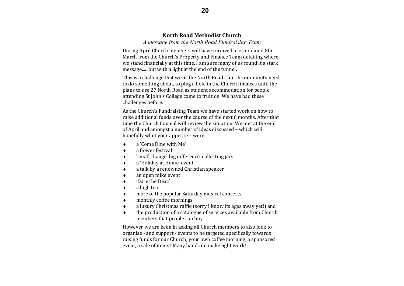## **North Road Methodist Church**

*A message from the North Road Fundraising Team* 

During April Church members will have received a letter dated 8th March from the Church's Property and Finance Team detailing where we stand financially at this time. I am sure many of us found it a stark message..... but with a light at the end of the tunnel.

This is a challenge that we as the North Road Church community need to do something about, to plug a hole in the Church finances until the plans to use 27 North Road as student accommodation for people attending St John's College come to fruition. We have had these challenges before.

As the Church's Fundraising Team we have started work on how to raise additional funds over the course of the next 6 months. After that time the Church Council will review the situation. We met at the end of April and amongst a number of ideas discussed – which will hopefully whet your appetite  $-$  were:

- $\bullet$ <sup>a</sup>'Come Dine with Me'
- $\bullet$ a flower festival
- $\bullet$ 'small change, big difference' collecting jars
- $\bullet$ a 'Holiday at Home' event
- ٠ a talk by a renowned Christian speaker
- $\bullet$ an open mike event
- ٠ 'Dare the Deac'
- ٠ a high tea
- $\bullet$ more of the popular Saturday musical concerts
- $\bullet$ monthly coffee mornings
- $\bullet$ a luxury Christmas raffle (sorry I know its ages away yet!) and
- $\bullet$ the production of a catalogue of services available from Church members that people can buy

However we are keen in asking all Church members to also look to organise - and support - events to be targeted specifically towards raising funds for our Church; your own coffee morning, a sponsored event, a sale of items? Many hands do make light work!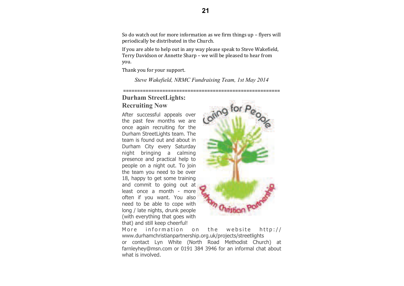So do watch out for more information as we firm things up  $-$  flyers will periodically be distributed in the Church.

If you are able to help out in any way please speak to Steve Wakefield, Terry Davidson or Annette Sharp – we will be pleased to hear from you. 

Thank you for your support.

*Steve Wakefield, NRMC Fundraising Team, 1st May 2014*

========================================================

## **Durham StreetLights: Recruiting Now**

After successful appeals over the past few months we are once again recruiting for the Durham StreetLights team. The team is found out and about in Durham City every Saturday night bringing a calming presence and practical help to people on a night out. To join the team you need to be over 18, happy to get some training and commit to going out at least once a month - more often if you want. You also need to be able to cope with long / late nights, drunk people (with everything that goes with that) and still keep cheerful!



More information on the website http:// www.durhamchristianpartnership.org.uk/projects/streetlights or contact Lyn White (North Road Methodist Church) at farnleyhey@msn.com or 0191 384 3946 for an informal chat about what is involved.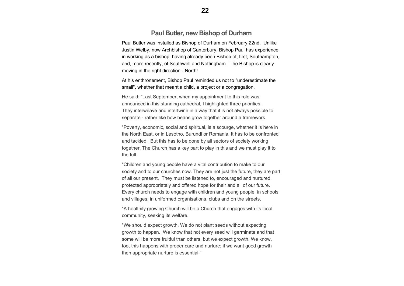## **Paul Butler, new Bishop of Durham**

Paul Butler was installed as Bishop of Durham on February 22nd. Unlike Justin Welby, now Archbishop of Canterbury, Bishop Paul has experience in working as a bishop, having already been Bishop of, first, Southampton, and, more recently, of Southwell and Nottingham. The Bishop is clearly moving in the right direction - North!

At his enthronement, Bishop Paul reminded us not to "underestimate the small", whether that meant a child, a project or a congregation.

He said: "Last September, when my appointment to this role was announced in this stunning cathedral, I highlighted three priorities. They interweave and intertwine in a way that it is not always possible to separate - rather like how beans grow together around a framework.

"Poverty, economic, social and spiritual, is a scourge, whether it is here in the North East, or in Lesotho, Burundi or Romania. It has to be confronted and tackled. But this has to be done by all sectors of society working together. The Church has a key part to play in this and we must play it to the full.

"Children and young people have a vital contribution to make to our society and to our churches now. They are not just the future, they are part of all our present. They must be listened to, encouraged and nurtured, protected appropriately and offered hope for their and all of our future. Every church needs to engage with children and young people, in schools and villages, in uniformed organisations, clubs and on the streets.

"A healthily growing Church will be a Church that engages with its local community, seeking its welfare.

"We should expect growth. We do not plant seeds without expecting growth to happen. We know that not every seed will germinate and that some will be more fruitful than others, but we expect growth. We know, too, this happens with proper care and nurture; if we want good growth then appropriate nurture is essential."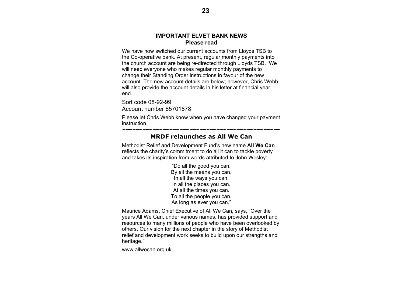## **IMPORTANT ELVET BANK NEWS Please read**

We have now switched our current accounts from Lloyds TSB to the Co-operative bank. At present, regular monthly payments into the church account are being re-directed through Lloyds TSB. We will need everyone who makes regular monthly payments to change their Standing Order instructions in favour of the new account. The new account details are below; however, Chris Webb will also provide the account details in his letter at financial year end.

Sort code 08-92-99 Account number 65701878

Please let Chris Webb know when you have changed your payment instruction.

~~~~~~~~~~~~~~~~~~~~~~~~~~~~~~~~~~~~~~~~~~~~~~~

## **MRDF relaunches as All We Can**

Methodist Relief and Development Fund's new name **All We Can**  reflects the charity's commitment to do all it can to tackle poverty and takes its inspiration from words attributed to John Wesley:

> "Do all the good you can. By all the means you can. In all the ways you can. In all the places you can. At all the times you can. To all the people you can. As long as ever you can."

Maurice Adams, Chief Executive of All We Can, says, "Over the years All We Can, under various names, has provided support and resources to many millions of people who have been overlooked by others. Our vision for the next chapter in the story of Methodist relief and development work seeks to build upon our strengths and heritage."

www.allwecan.org.uk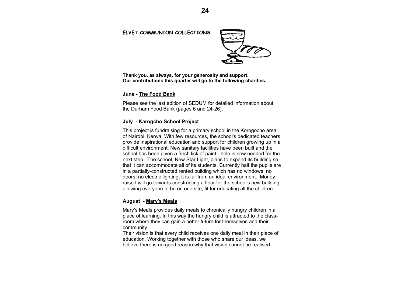#### **ELVET COMMUNION COLLECTIONS**



**Thank you, as always, for your generosity and support. Our contributions this quarter will go to the following charities.** 

#### **June - The Food Bank**

Please see the last edition of SEDUM for detailed information about the Durham Food Bank (pages 6 and 24-26).

#### **July - Karogcho School Project**

or realibor, Reflya. With for resources, the school's dedicated teachers<br>provide inspirational education and support for children growing up in a proced inspirational substation and support for simularly growing up in difficult environment. New sanitary facilities have been built and the school has been given a fresh lick of paint - help is now needed for the next step. The schoor, New Star Eight, plans to expand its building so<br>that it can accommodate all of its students. Currently half the pupils are math can accommodate an or to stateme. Salve they han the papile<br>in a partially-constructed rented building which has no windows, no doors, no electric lighting; it is far from an ideal environment. Money raised will go towards constructing a floor for the school's new building, allowing everyone to be on one site, fit for educating all the children. This project is fundraising for a primary school in the Korogocho area of Nairobi, Kenya. With few resources, the school's dedicated teachers next step. The school, New Star Light, plans to expand its building so

#### $\bm{\mathsf{August}}$  -  $\bm{\mathsf{Mary's\ Meals}}$ where  $\frac{m \times n}{m \times n}$

Mary's Meals provides daily meals to chronically hungry children in a place of learning. In this way the hungry child is attracted to the class- $\mathsf{community}.$ room where they can gain a better future for themselves and their

Their vision is that every child receives one daily meal in their place of education. Working together with those who share our ideas, we believe there is no good reason why that vision cannot be realised.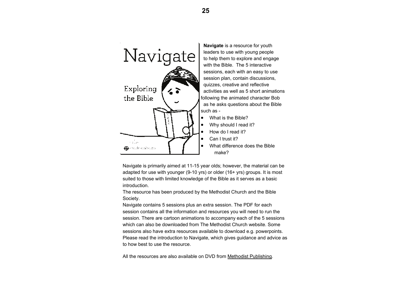

 sessions, each with an easy to use session plan, contain discussions, quizzes, creative and reflective activities as well as 5 short animations following the animated character Bob as he asks questions about the Bible

What difference does the Bible

Navigate is primarily aimed at 11-15 year olds; however, the material can be adapted for use with younger (9-10 yrs) or older (16+ yrs) groups. It is most suited to those with limited knowledge of the Bible as it serves as a basic introduction.

The resource has been produced by the Methodist Church and the Bible Society.

Navigate contains 5 sessions plus an extra session. The PDF for each session contains all the information and resources you will need to run the session. There are cartoon animations to accompany each of the 5 sessions which can also be downloaded from The Methodist Church website. Some sessions also have extra resources available to download e.g. powerpoints. Please read the introduction to Navigate, which gives guidance and advice as to how best to use the resource.

All the resources are also available on DVD from Methodist Publishing.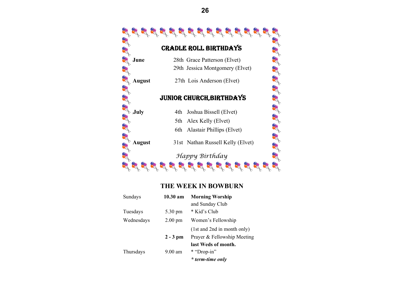

### **THE WEEK IN BOWBURN**

| Sundays    | 10.30 am          | <b>Morning Worship</b>      |  |
|------------|-------------------|-----------------------------|--|
|            |                   | and Sunday Club             |  |
| Tuesdays   | 5.30 pm           | * Kid's Club                |  |
| Wednesdays | $2.00 \text{ pm}$ | Women's Fellowship          |  |
|            |                   | (1st and 2nd in month only) |  |
|            | $2 - 3$ pm        | Prayer & Fellowship Meeting |  |
|            |                   | last Weds of month.         |  |
| Thursdays  | $9.00 \text{ am}$ | * "Drop-in"                 |  |
|            |                   | * term-time only            |  |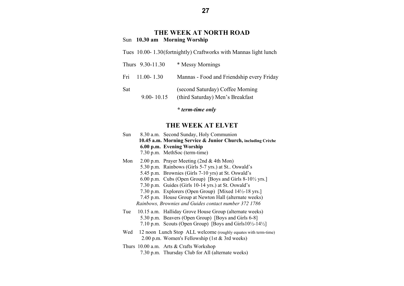## **THE WEEK AT NORTH ROAD**  Sun **10.30 am Morning Worship**

Tues 10.00- 1.30 (fortnightly) Craftworks with Mannas light lunch

| Thurs 9.30-11.30      | * Messy Mornings                                                     |
|-----------------------|----------------------------------------------------------------------|
| Fri 11.00-1.30        | Mannas - Food and Friendship every Friday                            |
| Sat<br>$9.00 - 10.15$ | (second Saturday) Coffee Morning<br>(third Saturday) Men's Breakfast |

 *\* term-time only* 

## **THE WEEK AT ELVET**

| Sun | 8.30 a.m. Second Sunday, Holy Communion                                           |
|-----|-----------------------------------------------------------------------------------|
|     | 10.45 a.m. Morning Service & Junior Church, including Crèche                      |
|     | 6.00 p.m. Evening Worship                                                         |
|     | 7.30 p.m. MethSoc (term-time)                                                     |
| Mon | 2.00 p.m. Prayer Meeting (2nd $&$ 4th Mon)                                        |
|     | 5.30 p.m. Rainbows (Girls 5-7 yrs.) at St Oswald's                                |
|     | 5.45 p.m. Brownies (Girls 7-10 yrs) at St. Oswald's                               |
|     | 6.00 p.m. Cubs (Open Group) [Boys and Girls $8-10\frac{1}{2}$ yrs.]               |
|     | 7.30 p.m. Guides (Girls 10-14 yrs.) at St. Oswald's                               |
|     | 7.30 p.m. Explorers (Open Group) [Mixed 14½-18 yrs.]                              |
|     | 7.45 p.m. House Group at Newton Hall (alternate weeks)                            |
|     | Rainbows, Brownies and Guides contact number 372 1786                             |
|     | Tue 10.15 a.m. Halliday Grove House Group (alternate weeks)                       |
|     | 5.30 p.m. Beavers (Open Group) [Boys and Girls 6-8]                               |
|     | 7.10 p.m. Scouts (Open Group) [Boys and Girls $10\frac{1}{2}$ -14 $\frac{1}{2}$ ] |
|     | Wed 12 noon Lunch Stop ALL welcome (roughly equates with term-time)               |
|     | 2.00 p.m. Women's Fellowship (1st & 3rd weeks)                                    |
|     | Thurs 10.00 a.m. Arts & Crafts Workshop                                           |
|     | 7.30 p.m. Thursday Club for All (alternate weeks)                                 |